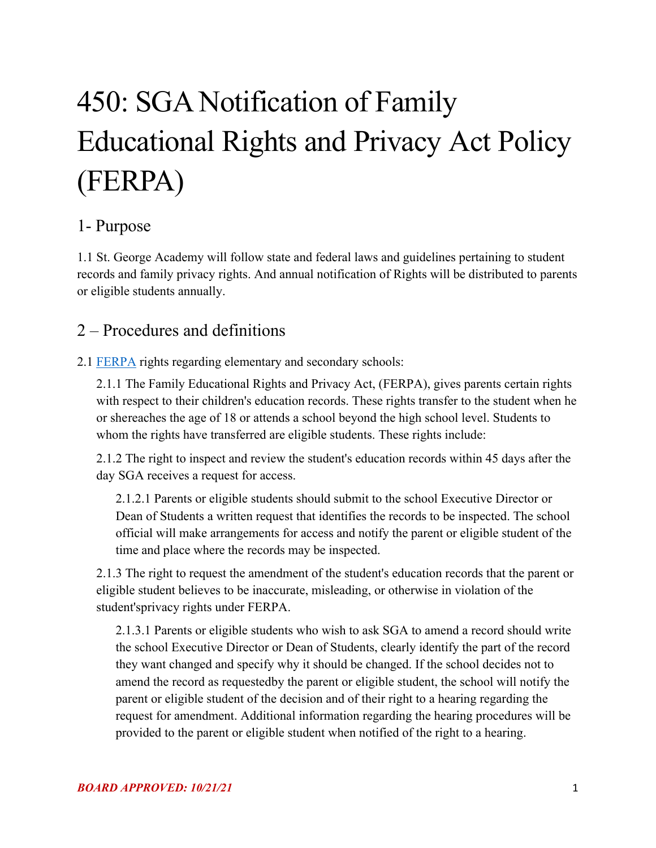# 450: SGA Notification of Family Educational Rights and Privacy Act Policy (FERPA)

### 1- Purpose

1.1 St. George Academy will follow state and federal laws and guidelines pertaining to student records and family privacy rights. And annual notification of Rights will be distributed to parents or eligible students annually.

### 2 – Procedures and definitions

2.1 **FERPA** rights regarding elementary and secondary schools:

2.1.1 The Family Educational Rights and Privacy Act, (FERPA), gives parents certain rights with respect to their children's education records. These rights transfer to the student when he or she reaches the age of 18 or attends a school beyond the high school level. Students to whom the rights have transferred are eligible students. These rights include:

2.1.2 The right to inspect and review the student's education records within 45 days after the day SGA receives a request for access.

2.1.2.1 Parents or eligible students should submit to the school Executive Director or Dean of Students a written request that identifies the records to be inspected. The school official will make arrangements for access and notify the parent or eligible student of the time and place where the records may be inspected.

2.1.3 The right to request the amendment of the student's education records that the parent or eligible student believes to be inaccurate, misleading, or otherwise in violation of the student'sprivacy rights under FERPA.

2.1.3.1 Parents or eligible students who wish to ask SGA to amend a record should write the school Executive Director or Dean of Students, clearly identify the part of the record they want changed and specify why it should be changed. If the school decides not to amend the record as requestedby the parent or eligible student, the school will notify the parent or eligible student of the decision and of their right to a hearing regarding the request for amendment. Additional information regarding the hearing procedures will be provided to the parent or eligible student when notified of the right to a hearing.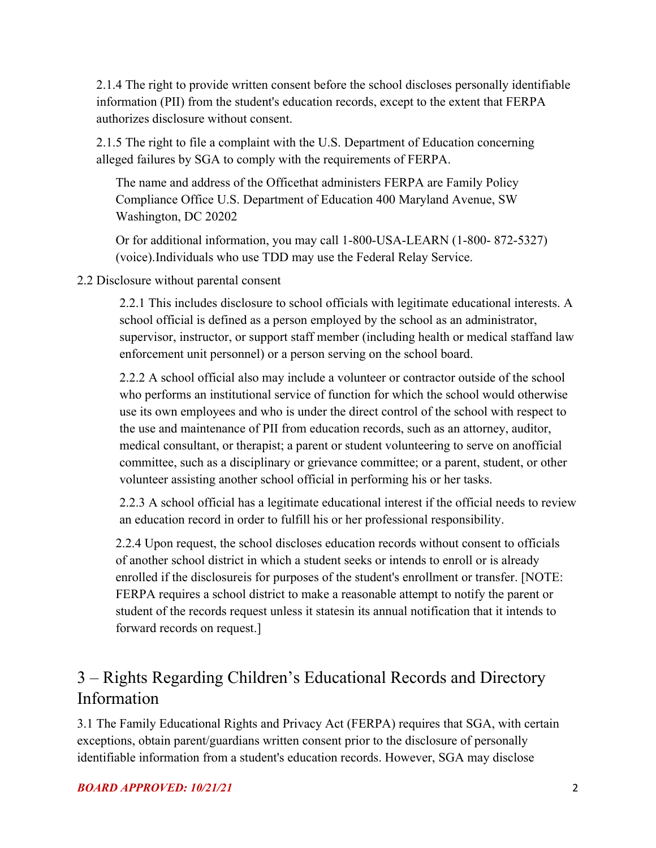2.1.4 The right to provide written consent before the school discloses personally identifiable information (PII) from the student's education records, except to the extent that FERPA authorizes disclosure without consent.

2.1.5 The right to file a complaint with the U.S. Department of Education concerning alleged failures by SGA to comply with the requirements of FERPA.

The name and address of the Officethat administers FERPA are Family Policy Compliance Office U.S. Department of Education 400 Maryland Avenue, SW Washington, DC 20202

Or for additional information, you may call 1-800-USA-LEARN (1-800- 872-5327) (voice).Individuals who use TDD may use the Federal Relay Service.

#### 2.2 Disclosure without parental consent

2.2.1 This includes disclosure to school officials with legitimate educational interests. A school official is defined as a person employed by the school as an administrator, supervisor, instructor, or support staff member (including health or medical staffand law enforcement unit personnel) or a person serving on the school board.

2.2.2 A school official also may include a volunteer or contractor outside of the school who performs an institutional service of function for which the school would otherwise use its own employees and who is under the direct control of the school with respect to the use and maintenance of PII from education records, such as an attorney, auditor, medical consultant, or therapist; a parent or student volunteering to serve on anofficial committee, such as a disciplinary or grievance committee; or a parent, student, or other volunteer assisting another school official in performing his or her tasks.

2.2.3 A school official has a legitimate educational interest if the official needs to review an education record in order to fulfill his or her professional responsibility.

2.2.4 Upon request, the school discloses education records without consent to officials of another school district in which a student seeks or intends to enroll or is already enrolled if the disclosureis for purposes of the student's enrollment or transfer. [NOTE: FERPA requires a school district to make a reasonable attempt to notify the parent or student of the records request unless it statesin its annual notification that it intends to forward records on request.]

## 3 – Rights Regarding Children's Educational Records and Directory Information

3.1 The Family Educational Rights and Privacy Act (FERPA) requires that SGA, with certain exceptions, obtain parent/guardians written consent prior to the disclosure of personally identifiable information from a student's education records. However, SGA may disclose